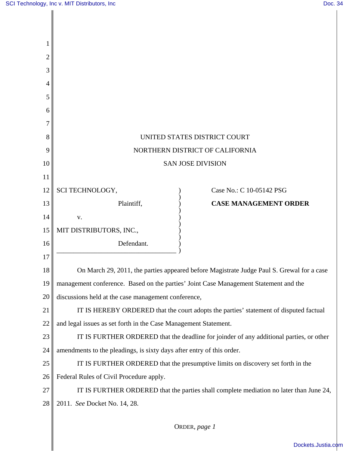| 2  |                                                                                           |
|----|-------------------------------------------------------------------------------------------|
| 3  |                                                                                           |
| 4  |                                                                                           |
| 5  |                                                                                           |
| 6  |                                                                                           |
| 7  |                                                                                           |
| 8  | UNITED STATES DISTRICT COURT                                                              |
| 9  | NORTHERN DISTRICT OF CALIFORNIA                                                           |
| 10 | <b>SAN JOSE DIVISION</b>                                                                  |
| 11 |                                                                                           |
| 12 | SCI TECHNOLOGY,<br>Case No.: C 10-05142 PSG                                               |
| 13 | Plaintiff,<br><b>CASE MANAGEMENT ORDER</b>                                                |
| 14 | V.                                                                                        |
| 15 | MIT DISTRIBUTORS, INC.,                                                                   |
| 16 | Defendant.                                                                                |
| 17 |                                                                                           |
| 18 | On March 29, 2011, the parties appeared before Magistrate Judge Paul S. Grewal for a case |
| 19 | management conference. Based on the parties' Joint Case Management Statement and the      |
| 20 | discussions held at the case management conference,                                       |
| 21 | IT IS HEREBY ORDERED that the court adopts the parties' statement of disputed factual     |
| 22 | and legal issues as set forth in the Case Management Statement.                           |
| 23 | IT IS FURTHER ORDERED that the deadline for joinder of any additional parties, or other   |
| 24 | amendments to the pleadings, is sixty days after entry of this order.                     |
| 25 | IT IS FURTHER ORDERED that the presumptive limits on discovery set forth in the           |
| 26 | Federal Rules of Civil Procedure apply.                                                   |
| 27 | IT IS FURTHER ORDERED that the parties shall complete mediation no later than June 24,    |
| 28 | 2011. See Docket No. 14, 28.                                                              |
|    |                                                                                           |

ORDER, *page 1*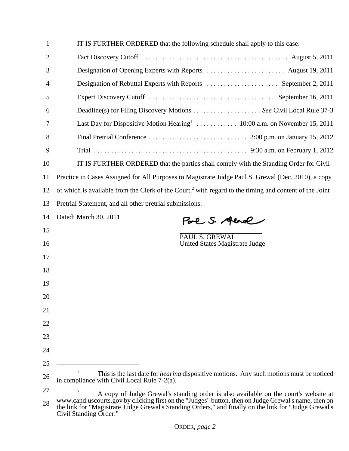| 1        | IT IS FURTHER ORDERED that the following schedule shall apply to this case:                                                                                                                                                                                                                                                         |
|----------|-------------------------------------------------------------------------------------------------------------------------------------------------------------------------------------------------------------------------------------------------------------------------------------------------------------------------------------|
| 2        |                                                                                                                                                                                                                                                                                                                                     |
| 3        |                                                                                                                                                                                                                                                                                                                                     |
| 4        |                                                                                                                                                                                                                                                                                                                                     |
| 5        |                                                                                                                                                                                                                                                                                                                                     |
| 6        |                                                                                                                                                                                                                                                                                                                                     |
| 7        |                                                                                                                                                                                                                                                                                                                                     |
| 8        |                                                                                                                                                                                                                                                                                                                                     |
| 9        |                                                                                                                                                                                                                                                                                                                                     |
| 10       | IT IS FURTHER ORDERED that the parties shall comply with the Standing Order for Civil                                                                                                                                                                                                                                               |
| 11       | Practice in Cases Assigned for All Purposes to Magistrate Judge Paul S. Grewal (Dec. 2010), a copy                                                                                                                                                                                                                                  |
| 12       | of which is available from the Clerk of the Court, <sup>2</sup> with regard to the timing and content of the Joint                                                                                                                                                                                                                  |
| 13       | Pretrial Statement, and all other pretrial submissions.                                                                                                                                                                                                                                                                             |
| 14       | Dated: March 30, 2011<br>Pare S. Aend                                                                                                                                                                                                                                                                                               |
| 15       |                                                                                                                                                                                                                                                                                                                                     |
| 16       | PAUL S. GREWAL<br>United States Magistrate Judge                                                                                                                                                                                                                                                                                    |
| 17       |                                                                                                                                                                                                                                                                                                                                     |
| 18       |                                                                                                                                                                                                                                                                                                                                     |
| 19       |                                                                                                                                                                                                                                                                                                                                     |
| 20       |                                                                                                                                                                                                                                                                                                                                     |
| 21       |                                                                                                                                                                                                                                                                                                                                     |
| 22       |                                                                                                                                                                                                                                                                                                                                     |
| 23       |                                                                                                                                                                                                                                                                                                                                     |
| 24       |                                                                                                                                                                                                                                                                                                                                     |
| 25       |                                                                                                                                                                                                                                                                                                                                     |
| 26       | This is the last date for <i>hearing</i> dispositive motions. Any such motions must be noticed<br>in compliance with Civil Local Rule 7-2(a).                                                                                                                                                                                       |
| 27<br>28 | 2<br>A copy of Judge Grewal's standing order is also available on the court's website at<br>www.cand.uscourts.gov by clicking first on the "Judges" button, then on Judge Grewal's name, then on<br>the link for "Magistrate Judge Grewal's Standing Orders," and finally on the link for "Judge Grewal's<br>Civil Standing Order." |
|          | ORDER, page 2                                                                                                                                                                                                                                                                                                                       |